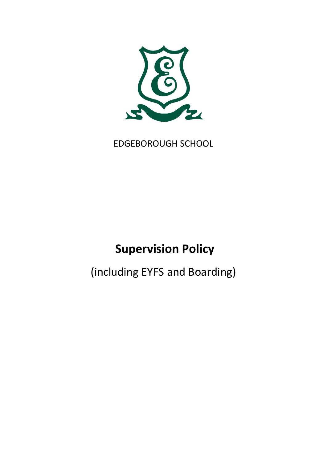

EDGEBOROUGH SCHOOL

# **Supervision Policy**

(including EYFS and Boarding)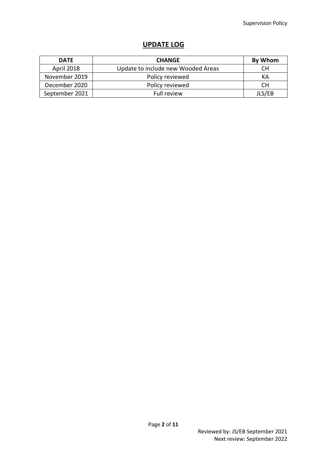# **UPDATE LOG**

| <b>DATE</b>       | <b>CHANGE</b>                      | By Whom |
|-------------------|------------------------------------|---------|
| <b>April 2018</b> | Update to include new Wooded Areas | CН      |
| November 2019     | Policy reviewed                    | KА      |
| December 2020     | Policy reviewed                    | СH      |
| September 2021    | <b>Full review</b>                 | JLS/EB  |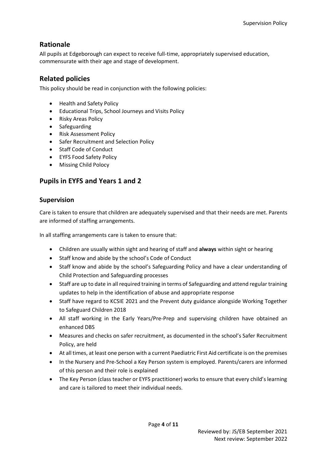# <span id="page-3-0"></span>**Rationale**

All pupils at Edgeborough can expect to receive full-time, appropriately supervised education, commensurate with their age and stage of development.

# <span id="page-3-1"></span>**Related policies**

This policy should be read in conjunction with the following policies:

- Health and Safety Policy
- Educational Trips, School Journeys and Visits Policy
- Risky Areas Policy
- Safeguarding
- Risk Assessment Policy
- Safer Recruitment and Selection Policy
- Staff Code of Conduct
- EYFS Food Safety Policy
- Missing Child Polocy

# <span id="page-3-3"></span><span id="page-3-2"></span>**Pupils in EYFS and Years 1 and 2**

### **Supervision**

Care is taken to ensure that children are adequately supervised and that their needs are met. Parents are informed of staffing arrangements.

In all staffing arrangements care is taken to ensure that:

- Children are usually within sight and hearing of staff and **always** within sight or hearing
- Staff know and abide by the school's Code of Conduct
- Staff know and abide by the school's Safeguarding Policy and have a clear understanding of Child Protection and Safeguarding processes
- Staff are up to date in all required training in terms of Safeguarding and attend regular training updates to help in the identification of abuse and appropriate response
- Staff have regard to KCSIE 2021 and the Prevent duty guidance alongside Working Together to Safeguard Children 2018
- All staff working in the Early Years/Pre-Prep and supervising children have obtained an enhanced DBS
- Measures and checks on safer recruitment, as documented in the school's Safer Recruitment Policy, are held
- At all times, at least one person with a current Paediatric First Aid certificate is on the premises
- In the Nursery and Pre-School a Key Person system is employed. Parents/carers are informed of this person and their role is explained
- The Key Person (class teacher or EYFS practitioner) works to ensure that every child's learning and care is tailored to meet their individual needs.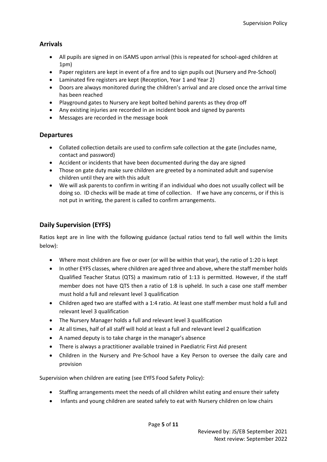## <span id="page-4-0"></span>**Arrivals**

- All pupils are signed in on iSAMS upon arrival (this is repeated for school-aged children at 1pm)
- Paper registers are kept in event of a fire and to sign pupils out (Nursery and Pre-School)
- Laminated fire registers are kept (Reception, Year 1 and Year 2)
- Doors are always monitored during the children's arrival and are closed once the arrival time has been reached
- Playground gates to Nursery are kept bolted behind parents as they drop off
- Any existing injuries are recorded in an incident book and signed by parents
- Messages are recorded in the message book

### <span id="page-4-1"></span>**Departures**

- Collated collection details are used to confirm safe collection at the gate (includes name, contact and password)
- Accident or incidents that have been documented during the day are signed
- Those on gate duty make sure children are greeted by a nominated adult and supervise children until they are with this adult
- We will ask parents to confirm in writing if an individual who does not usually collect will be doing so. ID checks will be made at time of collection. If we have any concerns, or if this is not put in writing, the parent is called to confirm arrangements.

# <span id="page-4-2"></span>**Daily Supervision (EYFS)**

Ratios kept are in line with the following guidance (actual ratios tend to fall well within the limits below):

- Where most children are five or over (or will be within that year), the ratio of 1:20 is kept
- In other EYFS classes, where children are aged three and above, where the staff member holds Qualified Teacher Status (QTS) a maximum ratio of 1:13 is permitted. However, if the staff member does not have QTS then a ratio of 1:8 is upheld. In such a case one staff member must hold a full and relevant level 3 qualification
- Children aged two are staffed with a 1:4 ratio. At least one staff member must hold a full and relevant level 3 qualification
- The Nursery Manager holds a full and relevant level 3 qualification
- At all times, half of all staff will hold at least a full and relevant level 2 qualification
- A named deputy is to take charge in the manager's absence
- There is always a practitioner available trained in Paediatric First Aid present
- Children in the Nursery and Pre-School have a Key Person to oversee the daily care and provision

Supervision when children are eating (see EYFS Food Safety Policy):

- Staffing arrangements meet the needs of all children whilst eating and ensure their safety
- Infants and young children are seated safely to eat with Nursery children on low chairs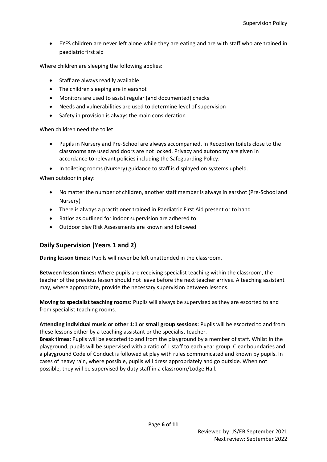• EYFS children are never left alone while they are eating and are with staff who are trained in paediatric first aid

Where children are sleeping the following applies:

- Staff are always readily available
- The children sleeping are in earshot
- Monitors are used to assist regular (and documented) checks
- Needs and vulnerabilities are used to determine level of supervision
- Safety in provision is always the main consideration

When children need the toilet:

- Pupils in Nursery and Pre-School are always accompanied. In Reception toilets close to the classrooms are used and doors are not locked. Privacy and autonomy are given in accordance to relevant policies including the Safeguarding Policy.
- In toileting rooms (Nursery) guidance to staff is displayed on systems upheld.

When outdoor in play:

- No matter the number of children, another staff member is always in earshot (Pre-School and Nursery)
- There is always a practitioner trained in Paediatric First Aid present or to hand
- Ratios as outlined for indoor supervision are adhered to
- Outdoor play Risk Assessments are known and followed

### <span id="page-5-0"></span>**Daily Supervision (Years 1 and 2)**

**During lesson times:** Pupils will never be left unattended in the classroom.

**Between lesson times:** Where pupils are receiving specialist teaching within the classroom, the teacher of the previous lesson should not leave before the next teacher arrives. A teaching assistant may, where appropriate, provide the necessary supervision between lessons.

**Moving to specialist teaching rooms:** Pupils will always be supervised as they are escorted to and from specialist teaching rooms.

**Attending individual music or other 1:1 or small group sessions:** Pupils will be escorted to and from these lessons either by a teaching assistant or the specialist teacher.

**Break times:** Pupils will be escorted to and from the playground by a member of staff. Whilst in the playground, pupils will be supervised with a ratio of 1 staff to each year group. Clear boundaries and a playground Code of Conduct is followed at play with rules communicated and known by pupils. In cases of heavy rain, where possible, pupils will dress appropriately and go outside. When not possible, they will be supervised by duty staff in a classroom/Lodge Hall.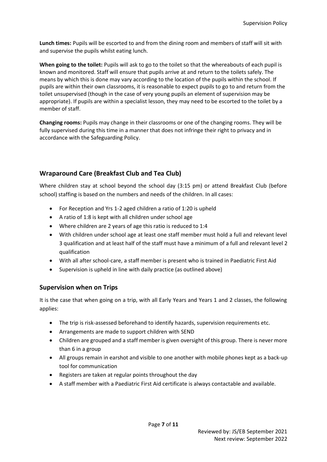**Lunch times:** Pupils will be escorted to and from the dining room and members of staff will sit with and supervise the pupils whilst eating lunch.

**When going to the toilet:** Pupils will ask to go to the toilet so that the whereabouts of each pupil is known and monitored. Staff will ensure that pupils arrive at and return to the toilets safely. The means by which this is done may vary according to the location of the pupils within the school. If pupils are within their own classrooms, it is reasonable to expect pupils to go to and return from the toilet unsupervised (though in the case of very young pupils an element of supervision may be appropriate). If pupils are within a specialist lesson, they may need to be escorted to the toilet by a member of staff.

**Changing rooms:** Pupils may change in their classrooms or one of the changing rooms. They will be fully supervised during this time in a manner that does not infringe their right to privacy and in accordance with the Safeguarding Policy.

## <span id="page-6-0"></span>**Wraparound Care (Breakfast Club and Tea Club)**

Where children stay at school beyond the school day (3:15 pm) or attend Breakfast Club (before school) staffing is based on the numbers and needs of the children. In all cases:

- For Reception and Yrs 1-2 aged children a ratio of 1:20 is upheld
- A ratio of 1:8 is kept with all children under school age
- Where children are 2 years of age this ratio is reduced to 1:4
- With children under school age at least one staff member must hold a full and relevant level 3 qualification and at least half of the staff must have a minimum of a full and relevant level 2 qualification
- With all after school-care, a staff member is present who is trained in Paediatric First Aid
- Supervision is upheld in line with daily practice (as outlined above)

### <span id="page-6-1"></span>**Supervision when on Trips**

It is the case that when going on a trip, with all Early Years and Years 1 and 2 classes, the following applies:

- The trip is risk-assessed beforehand to identify hazards, supervision requirements etc.
- Arrangements are made to support children with SEND
- Children are grouped and a staff member is given oversight of this group. There is never more than 6 in a group
- All groups remain in earshot and visible to one another with mobile phones kept as a back-up tool for communication
- Registers are taken at regular points throughout the day
- A staff member with a Paediatric First Aid certificate is always contactable and available.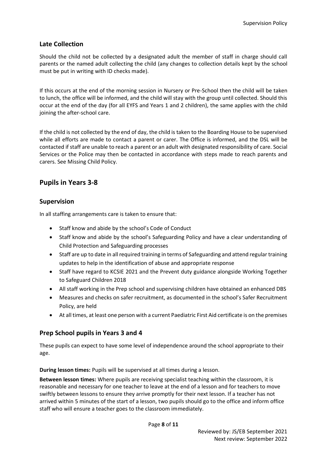#### <span id="page-7-0"></span>**Late Collection**

Should the child not be collected by a designated adult the member of staff in charge should call parents or the named adult collecting the child (any changes to collection details kept by the school must be put in writing with ID checks made).

If this occurs at the end of the morning session in Nursery or Pre-School then the child will be taken to lunch, the office will be informed, and the child will stay with the group until collected. Should this occur at the end of the day (for all EYFS and Years 1 and 2 children), the same applies with the child joining the after-school care.

If the child is not collected by the end of day, the child is taken to the Boarding House to be supervised while all efforts are made to contact a parent or carer. The Office is informed, and the DSL will be contacted ifstaff are unable to reach a parent or an adult with designated responsibility of care. Social Services or the Police may then be contacted in accordance with steps made to reach parents and carers. See Missing Child Policy.

## <span id="page-7-1"></span>**Pupils in Years 3-8**

#### <span id="page-7-2"></span>**Supervision**

In all staffing arrangements care is taken to ensure that:

- Staff know and abide by the school's Code of Conduct
- Staff know and abide by the school's Safeguarding Policy and have a clear understanding of Child Protection and Safeguarding processes
- Staff are up to date in all required training in terms of Safeguarding and attend regular training updates to help in the identification of abuse and appropriate response
- Staff have regard to KCSIE 2021 and the Prevent duty guidance alongside Working Together to Safeguard Children 2018
- All staff working in the Prep school and supervising children have obtained an enhanced DBS
- Measures and checks on safer recruitment, as documented in the school's Safer Recruitment Policy, are held
- At all times, at least one person with a current Paediatric First Aid certificate is on the premises

#### <span id="page-7-3"></span>**Prep School pupils in Years 3 and 4**

These pupils can expect to have some level of independence around the school appropriate to their age.

**During lesson times:** Pupils will be supervised at all times during a lesson.

**Between lesson times:** Where pupils are receiving specialist teaching within the classroom, it is reasonable and necessary for one teacher to leave at the end of a lesson and for teachers to move swiftly between lessons to ensure they arrive promptly for their next lesson. If a teacher has not arrived within 5 minutes of the start of a lesson, two pupils should go to the office and inform office staff who will ensure a teacher goes to the classroom immediately.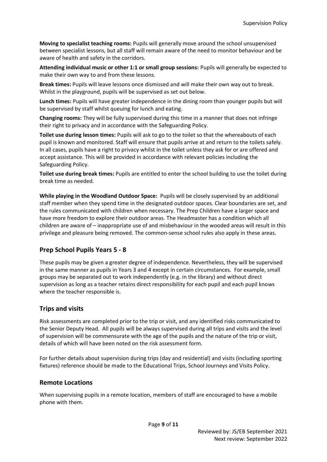**Moving to specialist teaching rooms:** Pupils will generally move around the school unsupervised between specialist lessons, but all staff will remain aware of the need to monitor behaviour and be aware of health and safety in the corridors.

**Attending individual music or other 1:1 or small group sessions:** Pupils will generally be expected to make their own way to and from these lessons.

**Break times:** Pupils will leave lessons once dismissed and will make their own way out to break. Whilst in the playground, pupils will be supervised as set out below.

**Lunch times:** Pupils will have greater independence in the dining room than younger pupils but will be supervised by staff whilst queuing for lunch and eating.

**Changing rooms:** They will be fully supervised during this time in a manner that does not infringe their right to privacy and in accordance with the Safeguarding Policy.

**Toilet use during lesson times:** Pupils will ask to go to the toilet so that the whereabouts of each pupil is known and monitored. Staff will ensure that pupils arrive at and return to the toilets safely. In all cases, pupils have a right to privacy whilst in the toilet unless they ask for or are offered and accept assistance. This will be provided in accordance with relevant policies including the Safeguarding Policy.

**Toilet use during break times:** Pupils are entitled to enter the school building to use the toilet during break time as needed.

**While playing in the Woodland Outdoor Space:** Pupils will be closely supervised by an additional staff member when they spend time in the designated outdoor spaces. Clear boundaries are set, and the rules communicated with children when necessary. The Prep Children have a larger space and have more freedom to explore their outdoor areas. The Headmaster has a condition which all children are aware of – inappropriate use of and misbehaviour in the wooded areas will result in this privilege and pleasure being removed. The common-sense school rules also apply in these areas.

### <span id="page-8-0"></span>**Prep School Pupils Years 5 - 8**

These pupils may be given a greater degree of independence. Nevertheless, they will be supervised in the same manner as pupils in Years 3 and 4 except in certain circumstances. For example, small groups may be separated out to work independently (e.g. in the library) and without direct supervision as long as a teacher retains direct responsibility for each pupil and each pupil knows where the teacher responsible is.

### <span id="page-8-1"></span>**Trips and visits**

Risk assessments are completed prior to the trip or visit, and any identified risks communicated to the Senior Deputy Head. All pupils will be always supervised during all trips and visits and the level of supervision will be commensurate with the age of the pupils and the nature of the trip or visit, details of which will have been noted on the risk assessment form.

For further details about supervision during trips (day and residential) and visits (including sporting fixtures) reference should be made to the Educational Trips, School Journeys and Visits Policy.

#### <span id="page-8-2"></span>**Remote Locations**

When supervising pupils in a remote location, members of staff are encouraged to have a mobile phone with them.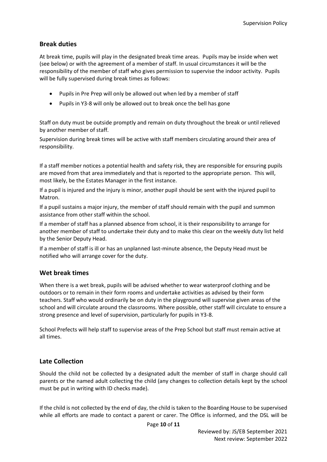#### <span id="page-9-0"></span>**Break duties**

At break time, pupils will play in the designated break time areas. Pupils may be inside when wet (see below) or with the agreement of a member of staff. In usual circumstances it will be the responsibility of the member of staff who gives permission to supervise the indoor activity. Pupils will be fully supervised during break times as follows:

- Pupils in Pre Prep will only be allowed out when led by a member of staff
- Pupils in Y3-8 will only be allowed out to break once the bell has gone

Staff on duty must be outside promptly and remain on duty throughout the break or until relieved by another member of staff.

Supervision during break times will be active with staff members circulating around their area of responsibility.

If a staff member notices a potential health and safety risk, they are responsible for ensuring pupils are moved from that area immediately and that is reported to the appropriate person. This will, most likely, be the Estates Manager in the first instance.

If a pupil is injured and the injury is minor, another pupil should be sent with the injured pupil to Matron.

If a pupil sustains a major injury, the member of staff should remain with the pupil and summon assistance from other staff within the school.

If a member of staff has a planned absence from school, it is their responsibility to arrange for another member of staff to undertake their duty and to make this clear on the weekly duty list held by the Senior Deputy Head.

If a member of staff is ill or has an unplanned last-minute absence, the Deputy Head must be notified who will arrange cover for the duty.

#### <span id="page-9-1"></span>**Wet break times**

When there is a wet break, pupils will be advised whether to wear waterproof clothing and be outdoors or to remain in their form rooms and undertake activities as advised by their form teachers. Staff who would ordinarily be on duty in the playground will supervise given areas of the school and will circulate around the classrooms. Where possible, other staff will circulate to ensure a strong presence and level of supervision, particularly for pupils in Y3-8.

School Prefects will help staff to supervise areas of the Prep School but staff must remain active at all times.

#### <span id="page-9-2"></span>**Late Collection**

Should the child not be collected by a designated adult the member of staff in charge should call parents or the named adult collecting the child (any changes to collection details kept by the school must be put in writing with ID checks made).

If the child is not collected by the end of day, the child is taken to the Boarding House to be supervised while all efforts are made to contact a parent or carer. The Office is informed, and the DSL will be